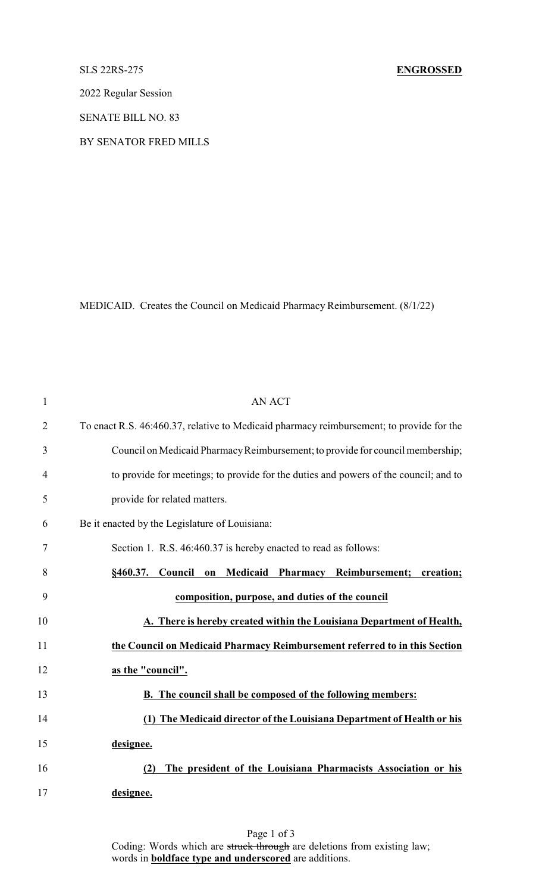## SLS 22RS-275 **ENGROSSED**

2022 Regular Session

SENATE BILL NO. 83

BY SENATOR FRED MILLS

MEDICAID. Creates the Council on Medicaid Pharmacy Reimbursement. (8/1/22)

| $\mathbf{1}$   | <b>AN ACT</b>                                                                                  |  |  |
|----------------|------------------------------------------------------------------------------------------------|--|--|
| $\overline{2}$ | To enact R.S. 46:460.37, relative to Medicaid pharmacy reimbursement; to provide for the       |  |  |
| 3              | Council on Medicaid Pharmacy Reimbursement; to provide for council membership;                 |  |  |
| 4              | to provide for meetings; to provide for the duties and powers of the council; and to           |  |  |
| 5              | provide for related matters.                                                                   |  |  |
| 6              | Be it enacted by the Legislature of Louisiana:                                                 |  |  |
| 7              | Section 1. R.S. 46:460.37 is hereby enacted to read as follows:                                |  |  |
| 8              | Medicaid<br>Council<br><b>Reimbursement;</b><br>§460.37.<br><b>Pharmacy</b><br>creation;<br>on |  |  |
| 9              | composition, purpose, and duties of the council                                                |  |  |
| 10             | A. There is hereby created within the Louisiana Department of Health,                          |  |  |
| 11             | the Council on Medicaid Pharmacy Reimbursement referred to in this Section                     |  |  |
| 12             | as the "council".                                                                              |  |  |
| 13             | <b>B.</b> The council shall be composed of the following members:                              |  |  |
| 14             | (1) The Medicaid director of the Louisiana Department of Health or his                         |  |  |
| 15             | designee.                                                                                      |  |  |
| 16             | The president of the Louisiana Pharmacists Association or his<br>(2)                           |  |  |
| 17             | designee.                                                                                      |  |  |

Page 1 of 3 Coding: Words which are struck through are deletions from existing law; words in **boldface type and underscored** are additions.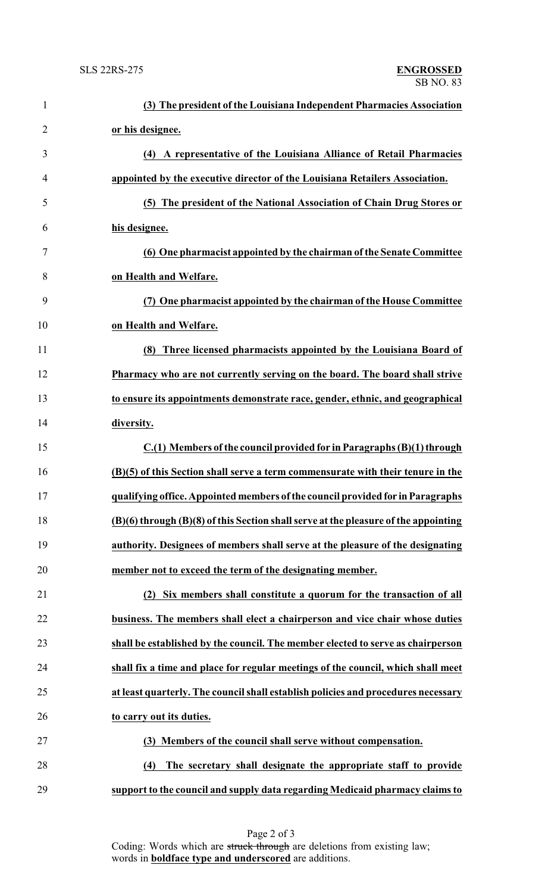| $\mathbf{1}$   | (3) The president of the Louisiana Independent Pharmacies Association               |
|----------------|-------------------------------------------------------------------------------------|
| $\overline{2}$ | or his designee.                                                                    |
| 3              | (4) A representative of the Louisiana Alliance of Retail Pharmacies                 |
| 4              | appointed by the executive director of the Louisiana Retailers Association.         |
| 5              | (5) The president of the National Association of Chain Drug Stores or               |
| 6              | his designee.                                                                       |
| 7              | (6) One pharmacist appointed by the chairman of the Senate Committee                |
| 8              | on Health and Welfare.                                                              |
| 9              | (7) One pharmacist appointed by the chairman of the House Committee                 |
| 10             | on Health and Welfare.                                                              |
| 11             | Three licensed pharmacists appointed by the Louisiana Board of<br>(8)               |
| 12             | Pharmacy who are not currently serving on the board. The board shall strive         |
| 13             | to ensure its appointments demonstrate race, gender, ethnic, and geographical       |
| 14             | diversity.                                                                          |
| 15             | C.(1) Members of the council provided for in Paragraphs (B)(1) through              |
| 16             | (B)(5) of this Section shall serve a term commensurate with their tenure in the     |
| 17             | qualifying office. Appointed members of the council provided for in Paragraphs      |
| 18             | (B)(6) through (B)(8) of this Section shall serve at the pleasure of the appointing |
| 19             | authority. Designees of members shall serve at the pleasure of the designating      |
| 20             | member not to exceed the term of the designating member.                            |
| 21             | Six members shall constitute a quorum for the transaction of all<br>(2)             |
| 22             | business. The members shall elect a chairperson and vice chair whose duties         |
| 23             | shall be established by the council. The member elected to serve as chairperson     |
| 24             | shall fix a time and place for regular meetings of the council, which shall meet    |
| 25             | at least quarterly. The council shall establish policies and procedures necessary   |
| 26             | to carry out its duties.                                                            |
| 27             | (3) Members of the council shall serve without compensation.                        |
| 28             | The secretary shall designate the appropriate staff to provide<br>(4)               |
| 29             | support to the council and supply data regarding Medicaid pharmacy claims to        |